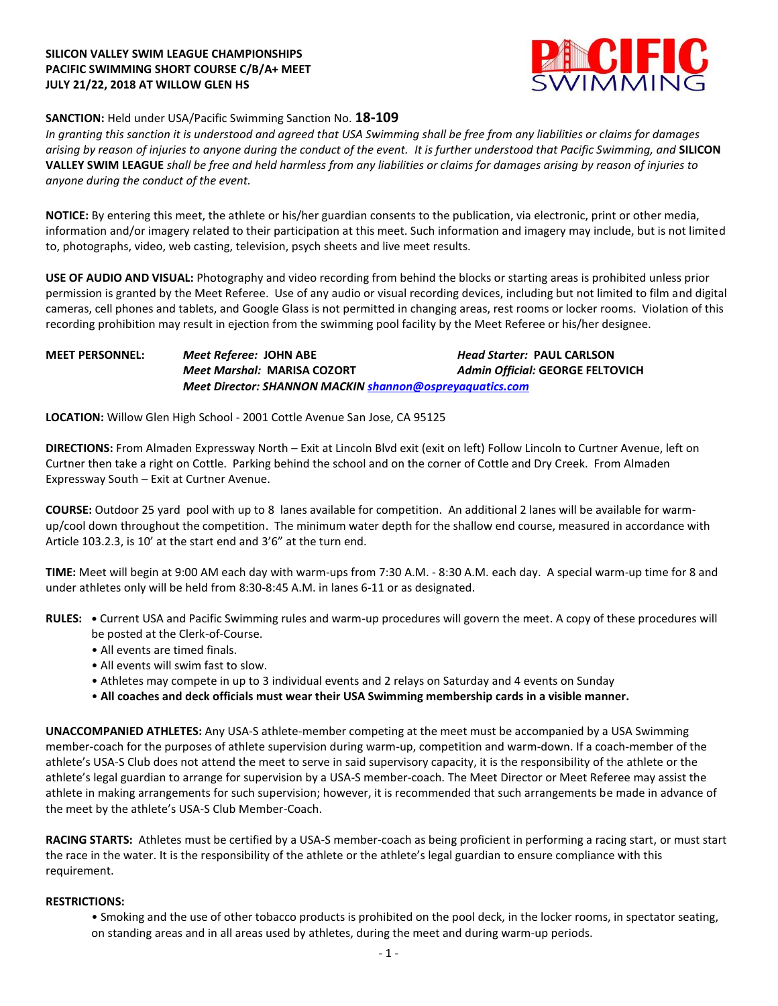# **SILICON VALLEY SWIM LEAGUE CHAMPIONSHIPS PACIFIC SWIMMING SHORT COURSE C/B/A+ MEET JULY 21/22, 2018 AT WILLOW GLEN HS**



# **SANCTION:** Held under USA/Pacific Swimming Sanction No. **18-109**

*In granting this sanction it is understood and agreed that USA Swimming shall be free from any liabilities or claims for damages arising by reason of injuries to anyone during the conduct of the event. It is further understood that Pacific Swimming, and* **SILICON VALLEY SWIM LEAGUE** *shall be free and held harmless from any liabilities or claims for damages arising by reason of injuries to anyone during the conduct of the event.*

**NOTICE:** By entering this meet, the athlete or his/her guardian consents to the publication, via electronic, print or other media, information and/or imagery related to their participation at this meet. Such information and imagery may include, but is not limited to, photographs, video, web casting, television, psych sheets and live meet results.

**USE OF AUDIO AND VISUAL:** Photography and video recording from behind the blocks or starting areas is prohibited unless prior permission is granted by the Meet Referee. Use of any audio or visual recording devices, including but not limited to film and digital cameras, cell phones and tablets, and Google Glass is not permitted in changing areas, rest rooms or locker rooms. Violation of this recording prohibition may result in ejection from the swimming pool facility by the Meet Referee or his/her designee.

**MEET PERSONNEL:** *Meet Referee:* **JOHN ABE** *Head Starter:* **PAUL CARLSON** *Meet Marshal:* **MARISA COZORT** *Admin Official:* **GEORGE FELTOVICH** *Meet Director: SHANNON MACKI[N shannon@ospreyaquatics.com](mailto:shannon@ospreyaquatics.com)*

**LOCATION:** Willow Glen High School - 2001 Cottle Avenue San Jose, CA 95125

**DIRECTIONS:** From Almaden Expressway North – Exit at Lincoln Blvd exit (exit on left) Follow Lincoln to Curtner Avenue, left on Curtner then take a right on Cottle. Parking behind the school and on the corner of Cottle and Dry Creek. From Almaden Expressway South – Exit at Curtner Avenue.

**COURSE:** Outdoor 25 yard pool with up to 8 lanes available for competition. An additional 2 lanes will be available for warmup/cool down throughout the competition. The minimum water depth for the shallow end course, measured in accordance with Article 103.2.3, is 10' at the start end and 3'6" at the turn end.

**TIME:** Meet will begin at 9:00 AM each day with warm-ups from 7:30 A.M. - 8:30 A.M. each day. A special warm-up time for 8 and under athletes only will be held from 8:30-8:45 A.M. in lanes 6-11 or as designated.

- **RULES: •** Current USA and Pacific Swimming rules and warm-up procedures will govern the meet. A copy of these procedures will be posted at the Clerk-of-Course.
	- All events are timed finals.
	- All events will swim fast to slow.
	- Athletes may compete in up to 3 individual events and 2 relays on Saturday and 4 events on Sunday
	- **All coaches and deck officials must wear their USA Swimming membership cards in a visible manner.**

**UNACCOMPANIED ATHLETES:** Any USA-S athlete-member competing at the meet must be accompanied by a USA Swimming member-coach for the purposes of athlete supervision during warm-up, competition and warm-down. If a coach-member of the athlete's USA-S Club does not attend the meet to serve in said supervisory capacity, it is the responsibility of the athlete or the athlete's legal guardian to arrange for supervision by a USA-S member-coach. The Meet Director or Meet Referee may assist the athlete in making arrangements for such supervision; however, it is recommended that such arrangements be made in advance of the meet by the athlete's USA-S Club Member-Coach.

**RACING STARTS:** Athletes must be certified by a USA-S member-coach as being proficient in performing a racing start, or must start the race in the water. It is the responsibility of the athlete or the athlete's legal guardian to ensure compliance with this requirement.

### **RESTRICTIONS:**

• Smoking and the use of other tobacco products is prohibited on the pool deck, in the locker rooms, in spectator seating, on standing areas and in all areas used by athletes, during the meet and during warm-up periods.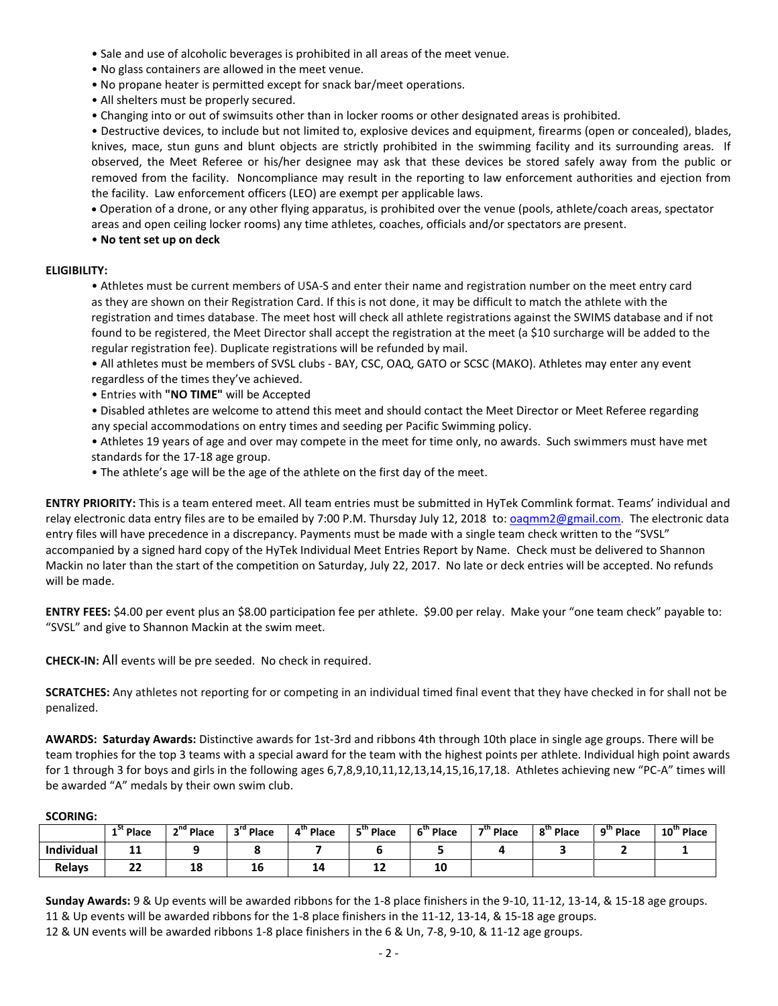- Sale and use of alcoholic beverages is prohibited in all areas of the meet venue.
- No glass containers are allowed in the meet venue.
- No propane heater is permitted except for snack bar/meet operations.
- All shelters must be properly secured.
- Changing into or out of swimsuits other than in locker rooms or other designated areas is prohibited.

• Destructive devices, to include but not limited to, explosive devices and equipment, firearms (open or concealed), blades, knives, mace, stun guns and blunt objects are strictly prohibited in the swimming facility and its surrounding areas. If observed, the Meet Referee or his/her designee may ask that these devices be stored safely away from the public or removed from the facility. Noncompliance may result in the reporting to law enforcement authorities and ejection from the facility. Law enforcement officers (LEO) are exempt per applicable laws.

 Operation of a drone, or any other flying apparatus, is prohibited over the venue (pools, athlete/coach areas, spectator areas and open ceiling locker rooms) any time athletes, coaches, officials and/or spectators are present.

• **No tent set up on deck**

### **ELIGIBILITY:**

• Athletes must be current members of USA-S and enter their name and registration number on the meet entry card as they are shown on their Registration Card. If this is not done, it may be difficult to match the athlete with the registration and times database. The meet host will check all athlete registrations against the SWIMS database and if not found to be registered, the Meet Director shall accept the registration at the meet (a \$10 surcharge will be added to the regular registration fee). Duplicate registrations will be refunded by mail.

• All athletes must be members of SVSL clubs - BAY, CSC, OAQ, GATO or SCSC (MAKO). Athletes may enter any event regardless of the times they've achieved.

• Entries with **"NO TIME"** will be Accepted

• Disabled athletes are welcome to attend this meet and should contact the Meet Director or Meet Referee regarding any special accommodations on entry times and seeding per Pacific Swimming policy.

• Athletes 19 years of age and over may compete in the meet for time only, no awards. Such swimmers must have met standards for the 17-18 age group.

• The athlete's age will be the age of the athlete on the first day of the meet.

**ENTRY PRIORITY:** This is a team entered meet. All team entries must be submitted in HyTek Commlink format. Teams' individual and relay electronic data entry files are to be emailed by 7:00 P.M. Thursday July 12, 2018 to[: oaqmm2@gmail.com](mailto:oaqmm2@gmail.com). The electronic data entry files will have precedence in a discrepancy. Payments must be made with a single team check written to the "SVSL" accompanied by a signed hard copy of the HyTek Individual Meet Entries Report by Name. Check must be delivered to Shannon Mackin no later than the start of the competition on Saturday, July 22, 2017. No late or deck entries will be accepted. No refunds will be made.

**ENTRY FEES:** \$4.00 per event plus an \$8.00 participation fee per athlete. \$9.00 per relay. Make your "one team check" payable to: "SVSL" and give to Shannon Mackin at the swim meet.

**CHECK-IN:** All events will be pre seeded. No check in required.

**SCRATCHES:** Any athletes not reporting for or competing in an individual timed final event that they have checked in for shall not be penalized.

**AWARDS: Saturday Awards:** Distinctive awards for 1st-3rd and ribbons 4th through 10th place in single age groups. There will be team trophies for the top 3 teams with a special award for the team with the highest points per athlete. Individual high point awards for 1 through 3 for boys and girls in the following ages 6,7,8,9,10,11,12,13,14,15,16,17,18. Athletes achieving new "PC-A" times will be awarded "A" medals by their own swim club.

#### **SCORING:**

|               | <sup>"</sup> " Place | n <sup>nd</sup> Place | 3 <sup>rd</sup> Place | 4 <sup>th</sup> Place | <sup>th</sup> Place | S <sup>tn</sup> Place | 7 <sup>th</sup> Place | 8 "Place | $9tn$ Place | 10" Place |
|---------------|----------------------|-----------------------|-----------------------|-----------------------|---------------------|-----------------------|-----------------------|----------|-------------|-----------|
| Individual    | --                   |                       |                       |                       |                     |                       |                       |          |             |           |
| <b>Relays</b> | יי<br>"              | ŦО                    | 16                    | 14                    | --                  | 10                    |                       |          |             |           |

**Sunday Awards:** 9 & Up events will be awarded ribbons for the 1-8 place finishers in the 9-10, 11-12, 13-14, & 15-18 age groups. 11 & Up events will be awarded ribbons for the 1-8 place finishers in the 11-12, 13-14, & 15-18 age groups. 12 & UN events will be awarded ribbons 1-8 place finishers in the 6 & Un, 7-8, 9-10, & 11-12 age groups.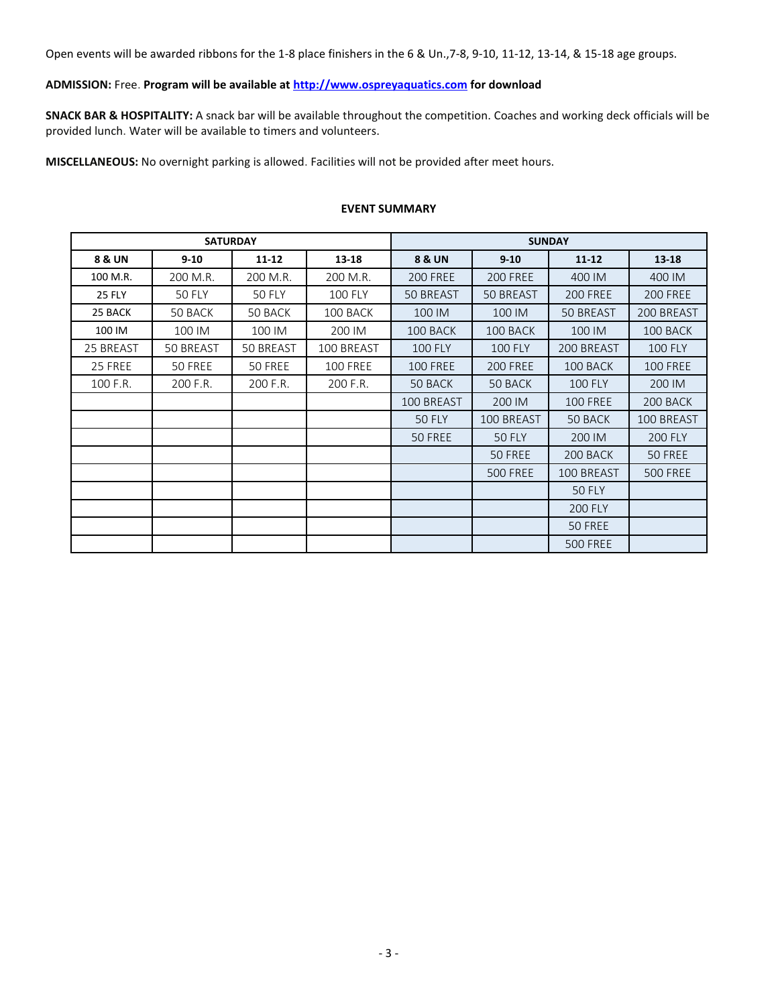Open events will be awarded ribbons for the 1-8 place finishers in the 6 & Un.,7-8, 9-10, 11-12, 13-14, & 15-18 age groups.

## **ADMISSION:** Free. **Program will be available at [http://www.ospreyaquatics.com](http://www.ospreyaquatics.com/) for download**

**SNACK BAR & HOSPITALITY:** A snack bar will be available throughout the competition. Coaches and working deck officials will be provided lunch. Water will be available to timers and volunteers.

**MISCELLANEOUS:** No overnight parking is allowed. Facilities will not be provided after meet hours.

### **EVENT SUMMARY**

|               | <b>SATURDAY</b> |               |                 | <b>SUNDAY</b>     |                 |                  |                 |
|---------------|-----------------|---------------|-----------------|-------------------|-----------------|------------------|-----------------|
| 8 & UN        | $9 - 10$        | $11 - 12$     | 13-18           | <b>8 &amp; UN</b> | $9 - 10$        | $11 - 12$        | $13 - 18$       |
| 100 M.R.      | 200 M.R.        | 200 M.R.      | 200 M.R.        | <b>200 FREE</b>   | <b>200 FREE</b> | 400 IM           | 400 IM          |
| <b>25 FLY</b> | <b>50 FLY</b>   | <b>50 FLY</b> | <b>100 FLY</b>  | <b>50 BREAST</b>  | 50 BREAST       | <b>200 FREE</b>  | <b>200 FREE</b> |
| 25 BACK       | 50 BACK         | 50 BACK       | 100 BACK        | 100 IM            | 100 IM          | <b>50 BREAST</b> | 200 BREAST      |
| 100 IM        | 100 IM          | 100 IM        | 200 IM          | 100 BACK          | 100 BACK        | 100 IM           | 100 BACK        |
| 25 BREAST     | 50 BREAST       | 50 BREAST     | 100 BREAST      | <b>100 FLY</b>    | <b>100 FLY</b>  | 200 BREAST       | <b>100 FLY</b>  |
| 25 FREE       | 50 FREE         | 50 FREE       | <b>100 FREE</b> | <b>100 FREE</b>   | <b>200 FREE</b> | 100 BACK         | <b>100 FREE</b> |
| 100 F.R.      | 200 F.R.        | 200 F.R.      | 200 F.R.        | 50 BACK           | 50 BACK         | <b>100 FLY</b>   | 200 IM          |
|               |                 |               |                 | 100 BREAST        | 200 IM          | <b>100 FREE</b>  | 200 BACK        |
|               |                 |               |                 | <b>50 FLY</b>     | 100 BREAST      | 50 BACK          | 100 BREAST      |
|               |                 |               |                 | 50 FREE           | <b>50 FLY</b>   | 200 IM           | <b>200 FLY</b>  |
|               |                 |               |                 |                   | 50 FREE         | 200 BACK         | 50 FREE         |
|               |                 |               |                 |                   | <b>500 FREE</b> | 100 BREAST       | <b>500 FREE</b> |
|               |                 |               |                 |                   |                 | <b>50 FLY</b>    |                 |
|               |                 |               |                 |                   |                 | <b>200 FLY</b>   |                 |
|               |                 |               |                 |                   |                 | 50 FREE          |                 |
|               |                 |               |                 |                   |                 | <b>500 FREE</b>  |                 |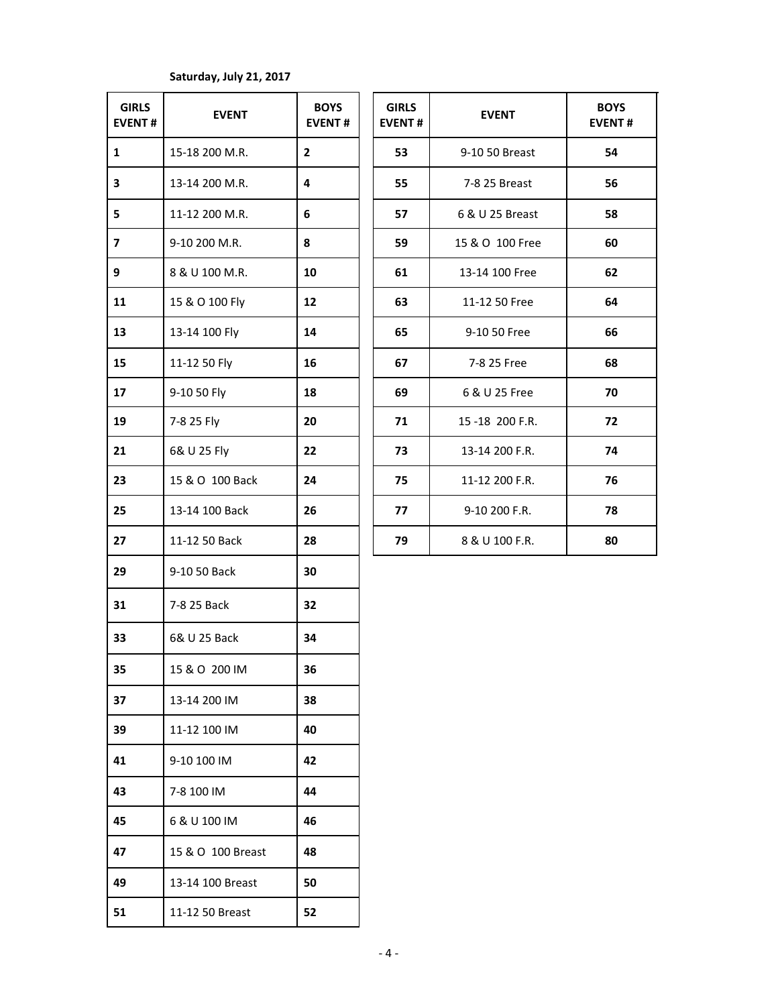# **Saturday, July 21, 2017**

| <b>GIRLS</b><br><b>EVENT#</b> | <b>EVENT</b>      | <b>BOYS</b><br><b>EVENT#</b> | <b>GIRLS</b><br><b>EVENT#</b> | <b>EVENT</b>    | <b>BOY</b><br><b>EVEN</b> |
|-------------------------------|-------------------|------------------------------|-------------------------------|-----------------|---------------------------|
| $\mathbf{1}$                  | 15-18 200 M.R.    | $\overline{2}$               | 53                            | 9-10 50 Breast  | 54                        |
| 3                             | 13-14 200 M.R.    | 4                            | 55                            | 7-8 25 Breast   | 56                        |
| 5                             | 11-12 200 M.R.    | 6                            | 57                            | 6 & U 25 Breast | 58                        |
| $\overline{\mathbf{z}}$       | 9-10 200 M.R.     | 8                            | 59                            | 15 & O 100 Free | 60                        |
| 9                             | 8 & U 100 M.R.    | 10                           | 61                            | 13-14 100 Free  | 62                        |
| 11                            | 15 & O 100 Fly    | 12                           | 63                            | 11-12 50 Free   | 64                        |
| 13                            | 13-14 100 Fly     | 14                           | 65                            | 9-10 50 Free    | 66                        |
| 15                            | 11-12 50 Fly      | 16                           | 67                            | 7-8 25 Free     | 68                        |
| 17                            | 9-10 50 Fly       | 18                           | 69                            | 6 & U 25 Free   | 70                        |
| 19                            | 7-8 25 Fly        | 20                           | 71                            | 15-18 200 F.R.  | 72                        |
| 21                            | 6& U 25 Fly       | 22                           | 73                            | 13-14 200 F.R.  | 74                        |
| 23                            | 15 & O 100 Back   | 24                           | 75                            | 11-12 200 F.R.  | 76                        |
| 25                            | 13-14 100 Back    | 26                           | 77                            | 9-10 200 F.R.   | 78                        |
| 27                            | 11-12 50 Back     | 28                           | 79                            | 8 & U 100 F.R.  | 80                        |
| 29                            | 9-10 50 Back      | 30                           |                               |                 |                           |
| 31                            | 7-8 25 Back       | 32                           |                               |                 |                           |
| 33                            | 6& U 25 Back      | 34                           |                               |                 |                           |
| 35                            | 15 & O 200 IM     | 36                           |                               |                 |                           |
| 37                            | 13-14 200 IM      | 38                           |                               |                 |                           |
| 39                            | 11-12 100 IM      | 40                           |                               |                 |                           |
| 41                            | 9-10 100 IM       | 42                           |                               |                 |                           |
| 43                            | 7-8 100 IM        | 44                           |                               |                 |                           |
| 45                            | 6 & U 100 IM      | 46                           |                               |                 |                           |
| 47                            | 15 & O 100 Breast | 48                           |                               |                 |                           |
| 49                            | 13-14 100 Breast  | 50                           |                               |                 |                           |
| 51                            | 11-12 50 Breast   | 52                           |                               |                 |                           |

| <b>GIRLS</b><br><b>EVENT#</b> | <b>EVENT</b>    | <b>BOYS</b><br><b>EVENT#</b> |
|-------------------------------|-----------------|------------------------------|
| 53                            | 9-10 50 Breast  | 54                           |
| 55                            | 7-8 25 Breast   | 56                           |
| 57                            | 6 & U 25 Breast | 58                           |
| 59                            | 15 & O 100 Free | 60                           |
| 61                            | 13-14 100 Free  | 62                           |
| 63                            | 11-12 50 Free   | 64                           |
| 65                            | 9-10 50 Free    | 66                           |
| 67                            | 7-8 25 Free     | 68                           |
| 69                            | 6 & U 25 Free   | 70                           |
| 71                            | 15-18 200 F.R.  | 72                           |
| 73                            | 13-14 200 F.R.  | 74                           |
| 75                            | 11-12 200 F.R.  | 76                           |
| 77                            | 9-10 200 F.R.   | 78                           |
| 79                            | 8 & U 100 F.R.  | 80                           |
|                               |                 |                              |